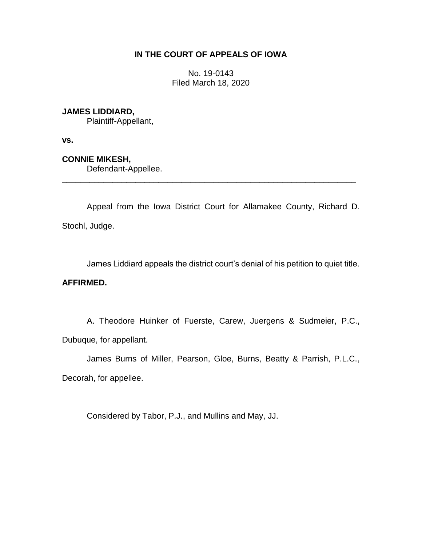## **IN THE COURT OF APPEALS OF IOWA**

No. 19-0143 Filed March 18, 2020

## **JAMES LIDDIARD,**

Plaintiff-Appellant,

**vs.**

**CONNIE MIKESH,**

Defendant-Appellee.

Appeal from the Iowa District Court for Allamakee County, Richard D. Stochl, Judge.

\_\_\_\_\_\_\_\_\_\_\_\_\_\_\_\_\_\_\_\_\_\_\_\_\_\_\_\_\_\_\_\_\_\_\_\_\_\_\_\_\_\_\_\_\_\_\_\_\_\_\_\_\_\_\_\_\_\_\_\_\_\_\_\_

James Liddiard appeals the district court's denial of his petition to quiet title.

## **AFFIRMED.**

A. Theodore Huinker of Fuerste, Carew, Juergens & Sudmeier, P.C., Dubuque, for appellant.

James Burns of Miller, Pearson, Gloe, Burns, Beatty & Parrish, P.L.C., Decorah, for appellee.

Considered by Tabor, P.J., and Mullins and May, JJ.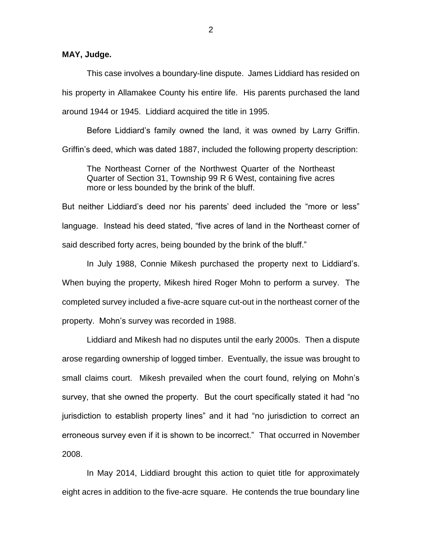**MAY, Judge.**

This case involves a boundary-line dispute. James Liddiard has resided on his property in Allamakee County his entire life. His parents purchased the land around 1944 or 1945. Liddiard acquired the title in 1995.

Before Liddiard's family owned the land, it was owned by Larry Griffin. Griffin's deed, which was dated 1887, included the following property description:

The Northeast Corner of the Northwest Quarter of the Northeast Quarter of Section 31, Township 99 R 6 West, containing five acres more or less bounded by the brink of the bluff.

But neither Liddiard's deed nor his parents' deed included the "more or less" language. Instead his deed stated, "five acres of land in the Northeast corner of said described forty acres, being bounded by the brink of the bluff."

In July 1988, Connie Mikesh purchased the property next to Liddiard's. When buying the property, Mikesh hired Roger Mohn to perform a survey. The completed survey included a five-acre square cut-out in the northeast corner of the property. Mohn's survey was recorded in 1988.

Liddiard and Mikesh had no disputes until the early 2000s. Then a dispute arose regarding ownership of logged timber. Eventually, the issue was brought to small claims court. Mikesh prevailed when the court found, relying on Mohn's survey, that she owned the property. But the court specifically stated it had "no jurisdiction to establish property lines" and it had "no jurisdiction to correct an erroneous survey even if it is shown to be incorrect." That occurred in November 2008.

In May 2014, Liddiard brought this action to quiet title for approximately eight acres in addition to the five-acre square. He contends the true boundary line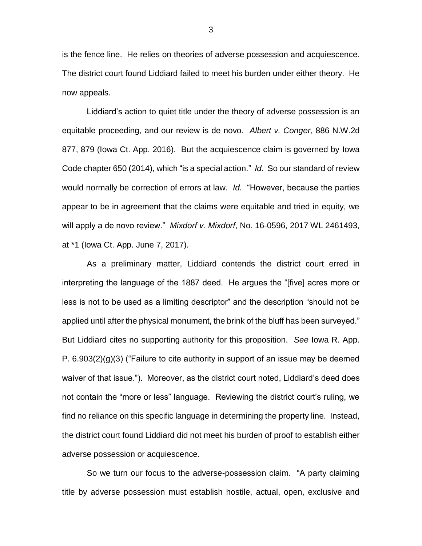is the fence line. He relies on theories of adverse possession and acquiescence. The district court found Liddiard failed to meet his burden under either theory. He now appeals.

Liddiard's action to quiet title under the theory of adverse possession is an equitable proceeding, and our review is de novo. *Albert v. Conger*, 886 N.W.2d 877, 879 (Iowa Ct. App. 2016). But the acquiescence claim is governed by Iowa Code chapter 650 (2014), which "is a special action." *Id.* So our standard of review would normally be correction of errors at law. *Id.* "However, because the parties appear to be in agreement that the claims were equitable and tried in equity, we will apply a de novo review." *Mixdorf v. Mixdorf*, No. 16-0596, 2017 WL 2461493, at \*1 (Iowa Ct. App. June 7, 2017).

As a preliminary matter, Liddiard contends the district court erred in interpreting the language of the 1887 deed. He argues the "[five] acres more or less is not to be used as a limiting descriptor" and the description "should not be applied until after the physical monument, the brink of the bluff has been surveyed." But Liddiard cites no supporting authority for this proposition. *See* Iowa R. App. P.  $6.903(2)(q)(3)$  ("Failure to cite authority in support of an issue may be deemed waiver of that issue."). Moreover, as the district court noted, Liddiard's deed does not contain the "more or less" language. Reviewing the district court's ruling, we find no reliance on this specific language in determining the property line. Instead, the district court found Liddiard did not meet his burden of proof to establish either adverse possession or acquiescence.

So we turn our focus to the adverse-possession claim. "A party claiming title by adverse possession must establish hostile, actual, open, exclusive and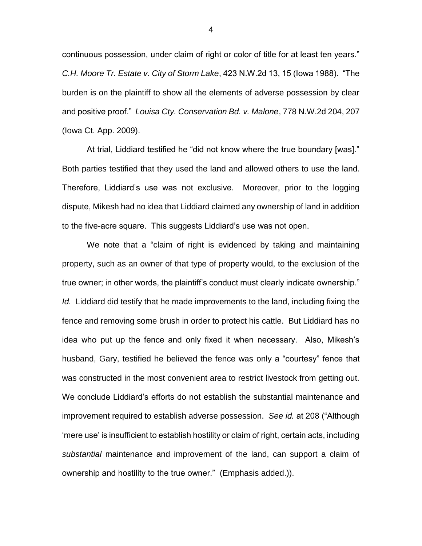continuous possession, under claim of right or color of title for at least ten years." *C.H. Moore Tr. Estate v. City of Storm Lake*, 423 N.W.2d 13, 15 (Iowa 1988). "The burden is on the plaintiff to show all the elements of adverse possession by clear and positive proof." *Louisa Cty. Conservation Bd. v. Malone*, 778 N.W.2d 204, 207 (Iowa Ct. App. 2009).

At trial, Liddiard testified he "did not know where the true boundary [was]." Both parties testified that they used the land and allowed others to use the land. Therefore, Liddiard's use was not exclusive. Moreover, prior to the logging dispute, Mikesh had no idea that Liddiard claimed any ownership of land in addition to the five-acre square. This suggests Liddiard's use was not open.

We note that a "claim of right is evidenced by taking and maintaining property, such as an owner of that type of property would, to the exclusion of the true owner; in other words, the plaintiff's conduct must clearly indicate ownership." *Id.* Liddiard did testify that he made improvements to the land, including fixing the fence and removing some brush in order to protect his cattle. But Liddiard has no idea who put up the fence and only fixed it when necessary. Also, Mikesh's husband, Gary, testified he believed the fence was only a "courtesy" fence that was constructed in the most convenient area to restrict livestock from getting out. We conclude Liddiard's efforts do not establish the substantial maintenance and improvement required to establish adverse possession. *See id.* at 208 ("Although 'mere use' is insufficient to establish hostility or claim of right, certain acts, including *substantial* maintenance and improvement of the land, can support a claim of ownership and hostility to the true owner." (Emphasis added.)).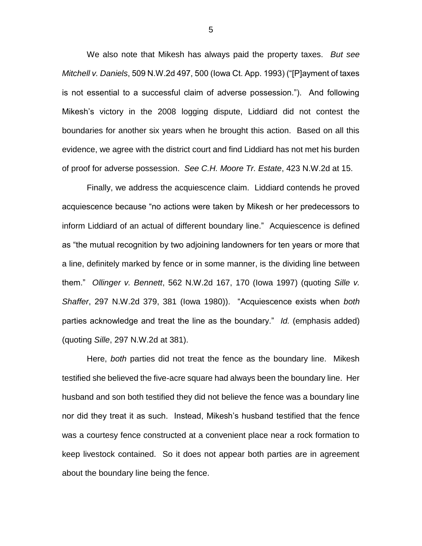We also note that Mikesh has always paid the property taxes. *But see Mitchell v. Daniels*, 509 N.W.2d 497, 500 (Iowa Ct. App. 1993) ("[P]ayment of taxes is not essential to a successful claim of adverse possession."). And following Mikesh's victory in the 2008 logging dispute, Liddiard did not contest the boundaries for another six years when he brought this action. Based on all this evidence, we agree with the district court and find Liddiard has not met his burden of proof for adverse possession. *See C.H. Moore Tr. Estate*, 423 N.W.2d at 15.

Finally, we address the acquiescence claim. Liddiard contends he proved acquiescence because "no actions were taken by Mikesh or her predecessors to inform Liddiard of an actual of different boundary line." Acquiescence is defined as "the mutual recognition by two adjoining landowners for ten years or more that a line, definitely marked by fence or in some manner, is the dividing line between them." *Ollinger v. Bennett*, 562 N.W.2d 167, 170 (Iowa 1997) (quoting *Sille v. Shaffer*, 297 N.W.2d 379, 381 (Iowa 1980)). "Acquiescence exists when *both* parties acknowledge and treat the line as the boundary." *Id.* (emphasis added) (quoting *Sille*, 297 N.W.2d at 381).

Here, *both* parties did not treat the fence as the boundary line. Mikesh testified she believed the five-acre square had always been the boundary line. Her husband and son both testified they did not believe the fence was a boundary line nor did they treat it as such. Instead, Mikesh's husband testified that the fence was a courtesy fence constructed at a convenient place near a rock formation to keep livestock contained. So it does not appear both parties are in agreement about the boundary line being the fence.

5